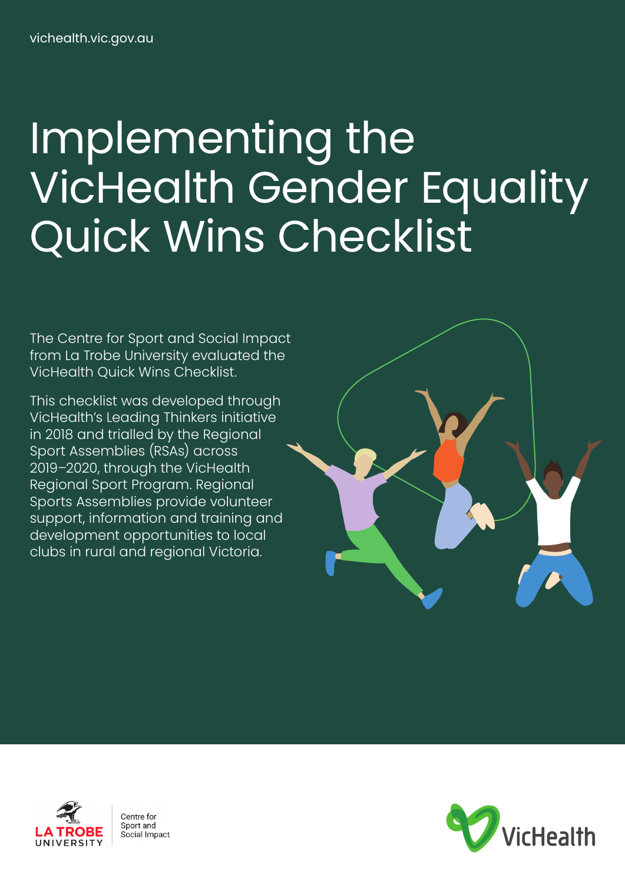# Implementing the VicHealth Gender Equality Quick Wins Checklist

The Centre for Sport and Social Impact from La Trobe University evaluated the VicHealth Quick Wins Checklist.

This checklist was developed through VicHealth's Leading Thinkers initiative in 2018 and trialled by the Regional Sport Assemblies (RSAs) across 2019–2020, through the VicHealth Regional Sport Program. Regional Sports Assemblies provide volunteer support, information and training and development opportunities to local clubs in rural and regional Victoria.





Centre for Sport and Social Impact

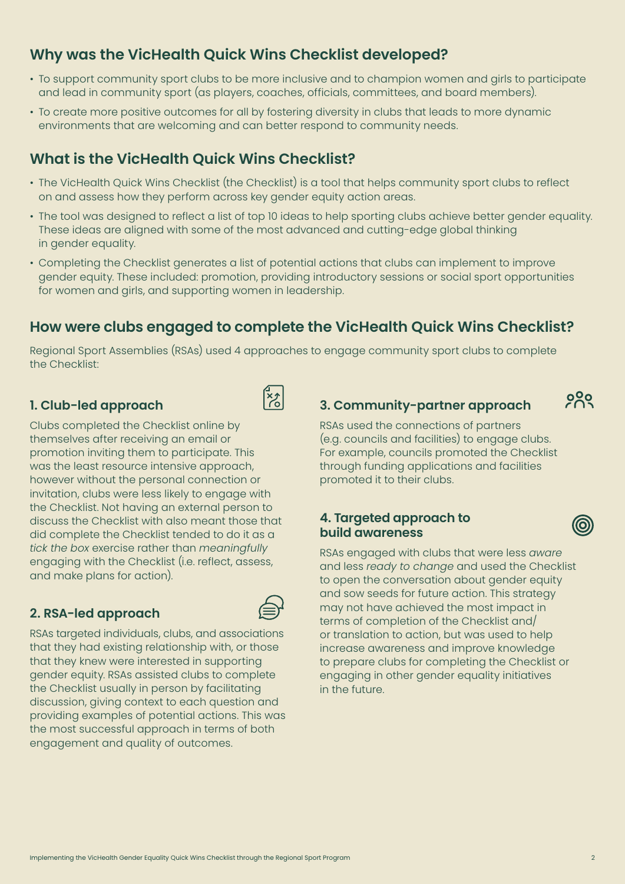# **Why was the VicHealth Quick Wins Checklist developed?**

- To support community sport clubs to be more inclusive and to champion women and girls to participate and lead in community sport (as players, coaches, officials, committees, and board members).
- To create more positive outcomes for all by fostering diversity in clubs that leads to more dynamic environments that are welcoming and can better respond to community needs.

## **What is the VicHealth Quick Wins Checklist?**

- The VicHealth Quick Wins Checklist (the Checklist) is a tool that helps community sport clubs to reflect on and assess how they perform across key gender equity action areas.
- The tool was designed to reflect a list of top 10 ideas to help sporting clubs achieve better gender equality. These ideas are aligned with some of the most advanced and cutting-edge global thinking in gender equality.
- Completing the Checklist generates a list of potential actions that clubs can implement to improve gender equity. These included: promotion, providing introductory sessions or social sport opportunities for women and girls, and supporting women in leadership.

# **How were clubs engaged to complete the VicHealth Quick Wins Checklist?**

Regional Sport Assemblies (RSAs) used 4 approaches to engage community sport clubs to complete the Checklist:

 $\left|\frac{1}{2}\right\rangle$ 

## **1. Club-led approach**

Clubs completed the Checklist online by themselves after receiving an email or promotion inviting them to participate. This was the least resource intensive approach, however without the personal connection or invitation, clubs were less likely to engage with the Checklist. Not having an external person to discuss the Checklist with also meant those that did complete the Checklist tended to do it as a *tick the box* exercise rather than *meaningfully* engaging with the Checklist (i.e. reflect, assess, and make plans for action).

### **2. RSA-led approach**



RSAs targeted individuals, clubs, and associations that they had existing relationship with, or those that they knew were interested in supporting gender equity. RSAs assisted clubs to complete the Checklist usually in person by facilitating discussion, giving context to each question and providing examples of potential actions. This was the most successful approach in terms of both engagement and quality of outcomes.

**3. Community-partner approach** 

 $200$ 

RSAs used the connections of partners (e.g. councils and facilities) to engage clubs. For example, councils promoted the Checklist through funding applications and facilities promoted it to their clubs.

#### **4. Targeted approach to build awareness**

RSAs engaged with clubs that were less *aware* and less *ready to change* and used the Checklist to open the conversation about gender equity and sow seeds for future action. This strategy may not have achieved the most impact in terms of completion of the Checklist and/ or translation to action, but was used to help increase awareness and improve knowledge to prepare clubs for completing the Checklist or engaging in other gender equality initiatives in the future.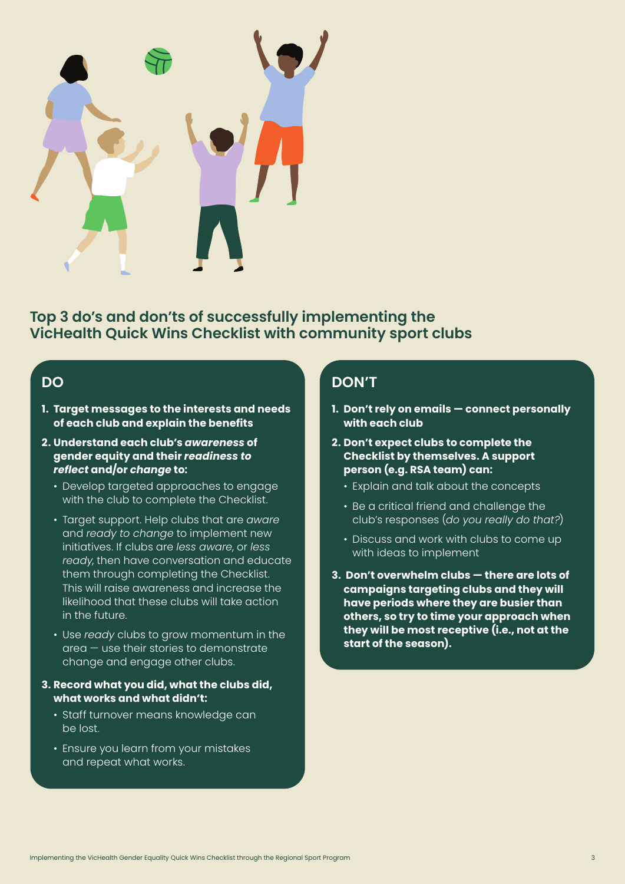

**Top 3 do's and don'ts of successfully implementing the VicHealth Quick Wins Checklist with community sport clubs**

## **DO**

- **1. Target messages to the interests and needs of each club and explain the benefits**
- **2. Understand each club's** *awareness* **of gender equity and their** *readiness to reflect* **and/or** *change* **to:**
	- Develop targeted approaches to engage with the club to complete the Checklist.
	- Target support. Help clubs that are *aware* and *ready to change* to implement new initiatives. If clubs are *less aware*, or *less ready*, then have conversation and educate them through completing the Checklist. This will raise awareness and increase the likelihood that these clubs will take action in the future.
	- Use *ready* clubs to grow momentum in the area — use their stories to demonstrate change and engage other clubs.
- **3. Record what you did, what the clubs did, what works and what didn't:**
	- Staff turnover means knowledge can be lost.
	- Ensure you learn from your mistakes and repeat what works.

## **DON'T**

- **1. Don't rely on emails connect personally with each club**
- **2. Don't expect clubs to complete the Checklist by themselves. A support person (e.g. RSA team) can:**
	- Explain and talk about the concepts
	- Be a critical friend and challenge the club's responses (*do you really do that?*)
	- Discuss and work with clubs to come up with ideas to implement
- **3. Don't overwhelm clubs there are lots of campaigns targeting clubs and they will have periods where they are busier than others, so try to time your approach when they will be most receptive (i.e., not at the start of the season).**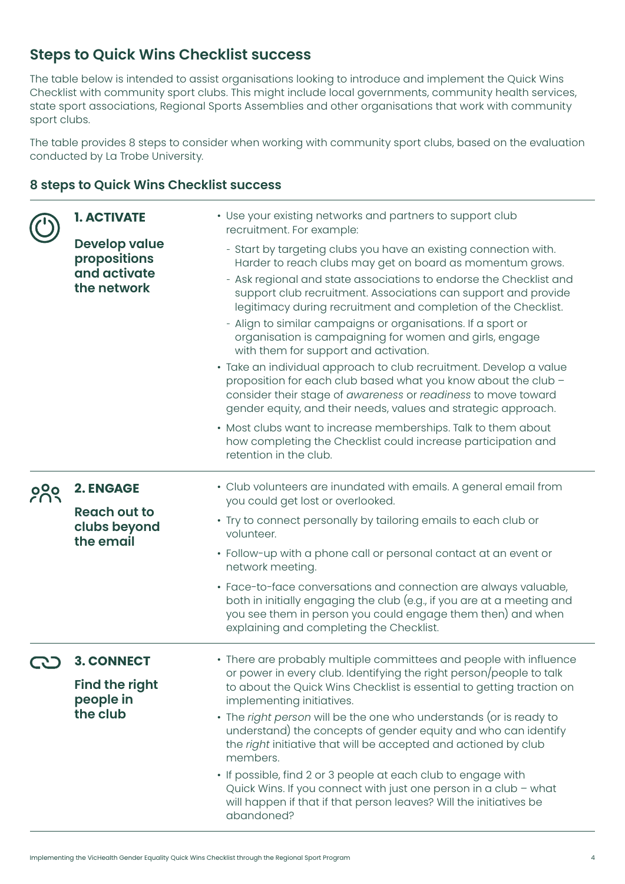# **Steps to Quick Wins Checklist success**

The table below is intended to assist organisations looking to introduce and implement the Quick Wins Checklist with community sport clubs. This might include local governments, community health services, state sport associations, Regional Sports Assemblies and other organisations that work with community sport clubs.

The table provides 8 steps to consider when working with community sport clubs, based on the evaluation conducted by La Trobe University.

## **8 steps to Quick Wins Checklist success**

|     | <b>1. ACTIVATE</b>                                                   | • Use your existing networks and partners to support club<br>recruitment. For example:                                                                                                                                                                                                                                                                                                                                                                                                                                                                                                                                                                                                                                                                                                                                                                                                                                                             |
|-----|----------------------------------------------------------------------|----------------------------------------------------------------------------------------------------------------------------------------------------------------------------------------------------------------------------------------------------------------------------------------------------------------------------------------------------------------------------------------------------------------------------------------------------------------------------------------------------------------------------------------------------------------------------------------------------------------------------------------------------------------------------------------------------------------------------------------------------------------------------------------------------------------------------------------------------------------------------------------------------------------------------------------------------|
|     | <b>Develop value</b><br>propositions<br>and activate<br>the network  | - Start by targeting clubs you have an existing connection with.<br>Harder to reach clubs may get on board as momentum grows.<br>- Ask regional and state associations to endorse the Checklist and<br>support club recruitment. Associations can support and provide<br>legitimacy during recruitment and completion of the Checklist.<br>- Align to similar campaigns or organisations. If a sport or<br>organisation is campaigning for women and girls, engage<br>with them for support and activation.<br>· Take an individual approach to club recruitment. Develop a value<br>proposition for each club based what you know about the club -<br>consider their stage of awareness or readiness to move toward<br>gender equity, and their needs, values and strategic approach.<br>• Most clubs want to increase memberships. Talk to them about<br>how completing the Checklist could increase participation and<br>retention in the club. |
| 020 | <b>2. ENGAGE</b><br><b>Reach out to</b><br>clubs beyond<br>the email | • Club volunteers are inundated with emails. A general email from<br>you could get lost or overlooked.<br>• Try to connect personally by tailoring emails to each club or<br>volunteer.                                                                                                                                                                                                                                                                                                                                                                                                                                                                                                                                                                                                                                                                                                                                                            |
|     |                                                                      | • Follow-up with a phone call or personal contact at an event or<br>network meeting.                                                                                                                                                                                                                                                                                                                                                                                                                                                                                                                                                                                                                                                                                                                                                                                                                                                               |
|     |                                                                      | · Face-to-face conversations and connection are always valuable,<br>both in initially engaging the club (e.g., if you are at a meeting and<br>you see them in person you could engage them then) and when<br>explaining and completing the Checklist.                                                                                                                                                                                                                                                                                                                                                                                                                                                                                                                                                                                                                                                                                              |
|     | <b>3. CONNECT</b><br><b>Find the right</b><br>people in<br>the club  | • There are probably multiple committees and people with influence<br>or power in every club. Identifying the right person/people to talk<br>to about the Quick Wins Checklist is essential to getting traction on<br>implementing initiatives.<br>• The right person will be the one who understands (or is ready to<br>understand) the concepts of gender equity and who can identify<br>the right initiative that will be accepted and actioned by club<br>members.<br>• If possible, find 2 or 3 people at each club to engage with<br>Quick Wins. If you connect with just one person in a club - what<br>will happen if that if that person leaves? Will the initiatives be<br>abandoned?                                                                                                                                                                                                                                                    |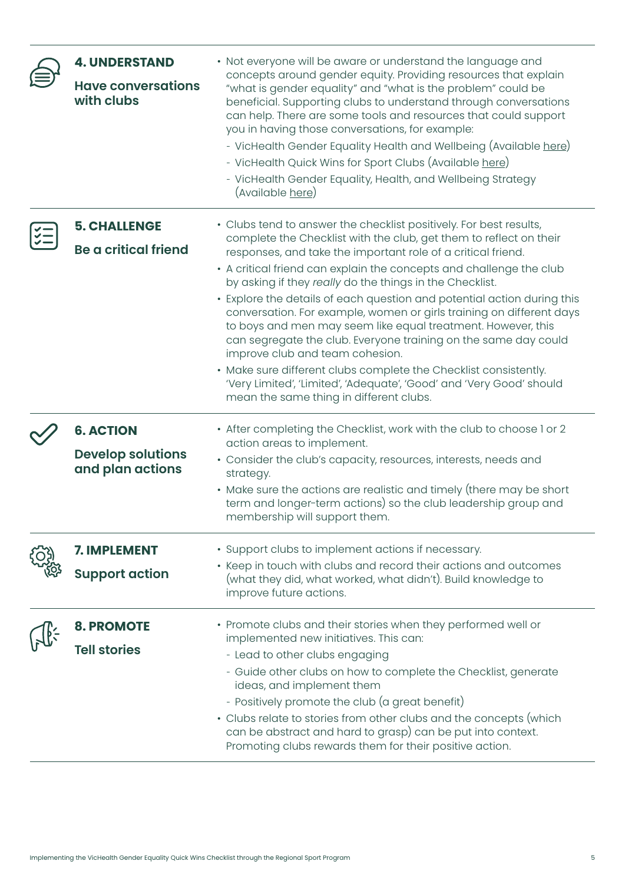| <b>4. UNDERSTAND</b><br><b>Have conversations</b><br>with clubs  | • Not everyone will be aware or understand the language and<br>concepts around gender equity. Providing resources that explain<br>"what is gender equality" and "what is the problem" could be<br>beneficial. Supporting clubs to understand through conversations<br>can help. There are some tools and resources that could support<br>you in having those conversations, for example:<br>- VicHealth Gender Equality Health and Wellbeing (Available here)<br>- VicHealth Quick Wins for Sport Clubs (Available here)<br>- VicHealth Gender Equality, Health, and Wellbeing Strategy<br>(Available here)                                                                                                                                                                                                                                                 |
|------------------------------------------------------------------|-------------------------------------------------------------------------------------------------------------------------------------------------------------------------------------------------------------------------------------------------------------------------------------------------------------------------------------------------------------------------------------------------------------------------------------------------------------------------------------------------------------------------------------------------------------------------------------------------------------------------------------------------------------------------------------------------------------------------------------------------------------------------------------------------------------------------------------------------------------|
| <b>5. CHALLENGE</b><br><b>Be a critical friend</b>               | • Clubs tend to answer the checklist positively. For best results,<br>complete the Checklist with the club, get them to reflect on their<br>responses, and take the important role of a critical friend.<br>• A critical friend can explain the concepts and challenge the club<br>by asking if they really do the things in the Checklist.<br>• Explore the details of each question and potential action during this<br>conversation. For example, women or girls training on different days<br>to boys and men may seem like equal treatment. However, this<br>can segregate the club. Everyone training on the same day could<br>improve club and team cohesion.<br>• Make sure different clubs complete the Checklist consistently.<br>'Very Limited', 'Limited', 'Adequate', 'Good' and 'Very Good' should<br>mean the same thing in different clubs. |
| <b>6. ACTION</b><br><b>Develop solutions</b><br>and plan actions | • After completing the Checklist, work with the club to choose I or 2<br>action areas to implement.<br>• Consider the club's capacity, resources, interests, needs and<br>strategy.<br>• Make sure the actions are realistic and timely (there may be short<br>term and longer-term actions) so the club leadership group and<br>membership will support them.                                                                                                                                                                                                                                                                                                                                                                                                                                                                                              |
| <b>7. IMPLEMENT</b><br><b>Support action</b>                     | • Support clubs to implement actions if necessary.<br>• Keep in touch with clubs and record their actions and outcomes<br>(what they did, what worked, what didn't). Build knowledge to<br>improve future actions.                                                                                                                                                                                                                                                                                                                                                                                                                                                                                                                                                                                                                                          |
| <b>8. PROMOTE</b><br><b>Tell stories</b>                         | • Promote clubs and their stories when they performed well or<br>implemented new initiatives. This can:<br>- Lead to other clubs engaging<br>- Guide other clubs on how to complete the Checklist, generate<br>ideas, and implement them<br>- Positively promote the club (a great benefit)<br>• Clubs relate to stories from other clubs and the concepts (which<br>can be abstract and hard to grasp) can be put into context.<br>Promoting clubs rewards them for their positive action.                                                                                                                                                                                                                                                                                                                                                                 |